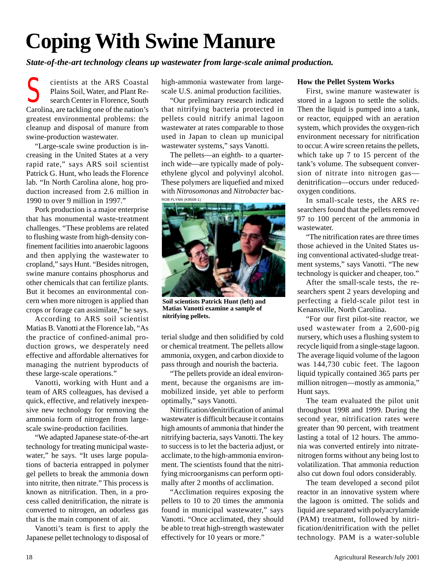## **Coping With Swine Manure**

*State-of-the-art technology cleans up wastewater from large-scale animal production.*

cientists at the ARS Coastal Plains Soil, Water, and Plant Research Center in Florence, South Carolina, are tackling one of the nation's greatest environmental problems: the cleanup and disposal of manure from swine-production wastewater. S

"Large-scale swine production is increasing in the United States at a very rapid rate," says ARS soil scientist Patrick G. Hunt, who leads the Florence lab. "In North Carolina alone, hog production increased from 2.6 million in 1990 to over 9 million in 1997."

Pork production is a major enterprise that has monumental waste-treatment challenges. "These problems are related to flushing waste from high-density confinement facilities into anaerobic lagoons and then applying the wastewater to cropland," says Hunt. "Besides nitrogen, swine manure contains phosphorus and other chemicals that can fertilize plants. But it becomes an environmental concern when more nitrogen is applied than crops or forage can assimilate," he says.

According to ARS soil scientist Matias B. Vanotti at the Florence lab, "As the practice of confined-animal production grows, we desperately need effective and affordable alternatives for managing the nutrient byproducts of these large-scale operations."

Vanotti, working with Hunt and a team of ARS colleagues, has devised a quick, effective, and relatively inexpensive new technology for removing the ammonia form of nitrogen from largescale swine-production facilities.

"We adapted Japanese state-of-the-art technology for treating municipal wastewater," he says. "It uses large populations of bacteria entrapped in polymer gel pellets to break the ammonia down into nitrite, then nitrate." This process is known as nitrification. Then, in a process called denitrification, the nitrate is converted to nitrogen, an odorless gas that is the main component of air.

Vanotti's team is first to apply the Japanese pellet technology to disposal of high-ammonia wastewater from largescale U.S. animal production facilities.

"Our preliminary research indicated that nitrifying bacteria protected in pellets could nitrify animal lagoon wastewater at rates comparable to those used in Japan to clean up municipal wastewater systems," says Vanotti.

The pellets—an eighth- to a quarterinch wide—are typically made of polyethylene glycol and polyvinyl alcohol. These polymers are liquefied and mixed with *Nitrosomonas* and *Nitrobacter* bac-ROB FLYNN (K9508-1)



**Soil scientists Patrick Hunt (left) and Matias Vanotti examine a sample of nitrifying pellets.**

terial sludge and then solidified by cold or chemical treatment. The pellets allow ammonia, oxygen, and carbon dioxide to pass through and nourish the bacteria.

"The pellets provide an ideal environment, because the organisms are immobilized inside, yet able to perform optimally," says Vanotti.

Nitrification/denitrification of animal wastewater is difficult because it contains high amounts of ammonia that hinder the nitrifying bacteria, says Vanotti. The key to success is to let the bacteria adjust, or acclimate, to the high-ammonia environment. The scientists found that the nitrifying microorganisms can perform optimally after 2 months of acclimation.

"Acclimation requires exposing the pellets to 10 to 20 times the ammonia found in municipal wastewater," says Vanotti. "Once acclimated, they should be able to treat high-strength wastewater effectively for 10 years or more."

## **How the Pellet System Works**

First, swine manure wastewater is stored in a lagoon to settle the solids. Then the liquid is pumped into a tank, or reactor, equipped with an aeration system, which provides the oxygen-rich environment necessary for nitrification to occur. A wire screen retains the pellets, which take up 7 to 15 percent of the tank's volume. The subsequent conversion of nitrate into nitrogen gas denitrification—occurs under reducedoxygen conditions.

In small-scale tests, the ARS researchers found that the pellets removed 97 to 100 percent of the ammonia in wastewater.

"The nitrification rates are three times those achieved in the United States using conventional activated-sludge treatment systems," says Vanotti. "The new technology is quicker and cheaper, too."

After the small-scale tests, the researchers spent 2 years developing and perfecting a field-scale pilot test in Kenansville, North Carolina.

"For our first pilot-site reactor, we used wastewater from a 2,600-pig nursery, which uses a flushing system to recycle liquid from a single-stage lagoon. The average liquid volume of the lagoon was 144,730 cubic feet. The lagoon liquid typically contained 365 parts per million nitrogen—mostly as ammonia," Hunt says.

The team evaluated the pilot unit throughout 1998 and 1999. During the second year, nitrification rates were greater than 90 percent, with treatment lasting a total of 12 hours. The ammonia was converted entirely into nitratenitrogen forms without any being lost to volatilization. That ammonia reduction also cut down foul odors considerably.

The team developed a second pilot reactor in an innovative system where the lagoon is omitted. The solids and liquid are separated with polyacrylamide (PAM) treatment, followed by nitrification/denitrification with the pellet technology. PAM is a water-soluble